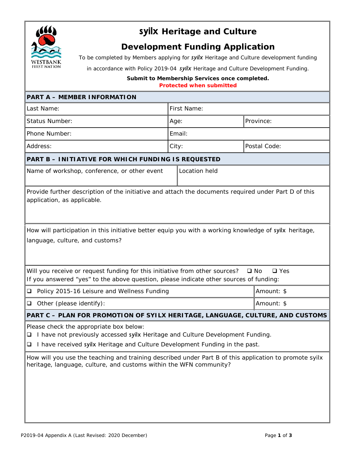

## **syilx Heritage and Culture**

## **Development Funding Application**

*To be completed by Members applying for syilx Heritage and Culture development funding*

*in accordance with Policy 2019-04 syilx Heritage and Culture Development Funding.*

*Submit to Membership Services once completed. Protected when submitted*

| <b>PART A - MEMBER INFORMATION</b>                                                                                                                                                                                      |               |              |  |  |
|-------------------------------------------------------------------------------------------------------------------------------------------------------------------------------------------------------------------------|---------------|--------------|--|--|
| Last Name:                                                                                                                                                                                                              | First Name:   |              |  |  |
| <b>Status Number:</b>                                                                                                                                                                                                   | Age:          | Province:    |  |  |
| Phone Number:                                                                                                                                                                                                           | Email:        |              |  |  |
| Address:                                                                                                                                                                                                                | City:         | Postal Code: |  |  |
| PART B - INITIATIVE FOR WHICH FUNDING IS REQUESTED                                                                                                                                                                      |               |              |  |  |
| Name of workshop, conference, or other event                                                                                                                                                                            | Location held |              |  |  |
| Provide further description of the initiative and attach the documents required under Part D of this<br>application, as applicable.                                                                                     |               |              |  |  |
| How will participation in this initiative better equip you with a working knowledge of syilx heritage,<br>language, culture, and customs?                                                                               |               |              |  |  |
| Will you receive or request funding for this initiative from other sources?<br>$\square$ No<br>$\Box$ Yes<br>If you answered "yes" to the above question, please indicate other sources of funding:                     |               |              |  |  |
| □ Policy 2015-16 Leisure and Wellness Funding                                                                                                                                                                           |               | Amount: \$   |  |  |
| Other (please identify):<br>$\Box$                                                                                                                                                                                      |               | Amount: \$   |  |  |
| PART C - PLAN FOR PROMOTION OF SYILX HERITAGE, LANGUAGE, CULTURE, AND CUSTOMS                                                                                                                                           |               |              |  |  |
| Please check the appropriate box below:<br>I have not previously accessed syllx Heritage and Culture Development Funding.<br>❏<br>I have received syilx Heritage and Culture Development Funding in the past.<br>$\Box$ |               |              |  |  |
| How will you use the teaching and training described under Part B of this application to promote syilx<br>heritage, language, culture, and customs within the WFN community?                                            |               |              |  |  |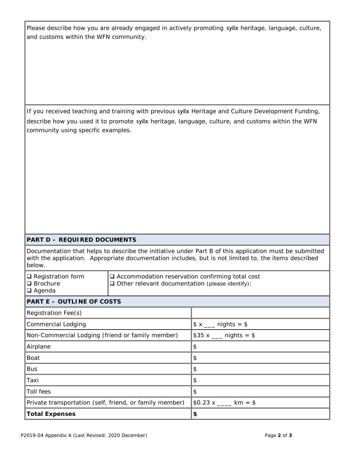Please describe how you are already engaged in actively promoting syilx heritage, language, culture, and customs within the WFN community.

If you received teaching and training with previous syilx Heritage and Culture Development Funding, describe how you used it to promote syilx heritage, language, culture, and customs within the WFN community using specific examples.

## **PART D – REQUIRED DOCUMENTS**

Documentation that helps to describe the initiative under Part B of this application must be submitted with the application. Appropriate documentation includes, but is not limited to, the items described below.

| $\Box$ Registration form<br>$\Box$ Brochure<br>$\Box$ Agenda | $\Box$ Accommodation reservation confirming total cost<br>$\Box$ Other relevant documentation (please identify): |                        |  |
|--------------------------------------------------------------|------------------------------------------------------------------------------------------------------------------|------------------------|--|
| <b>PART E - OUTLINE OF COSTS</b>                             |                                                                                                                  |                        |  |
| Registration Fee(s)                                          |                                                                                                                  |                        |  |
| <b>Commercial Lodging</b>                                    |                                                                                                                  | \$ x ___ nights = \$   |  |
| Non-Commercial Lodging (friend or family member)             |                                                                                                                  | \$35 x ___ nights = \$ |  |
| Airplane                                                     |                                                                                                                  | \$                     |  |
| Boat                                                         |                                                                                                                  | \$                     |  |
| <b>Bus</b>                                                   |                                                                                                                  | \$                     |  |
| Taxi                                                         |                                                                                                                  | \$                     |  |
| Toll fees                                                    |                                                                                                                  | \$                     |  |
| Private transportation (self, friend, or family member)      |                                                                                                                  | \$0.23 x ____ km = \$  |  |
| <b>Total Expenses</b>                                        |                                                                                                                  | \$                     |  |